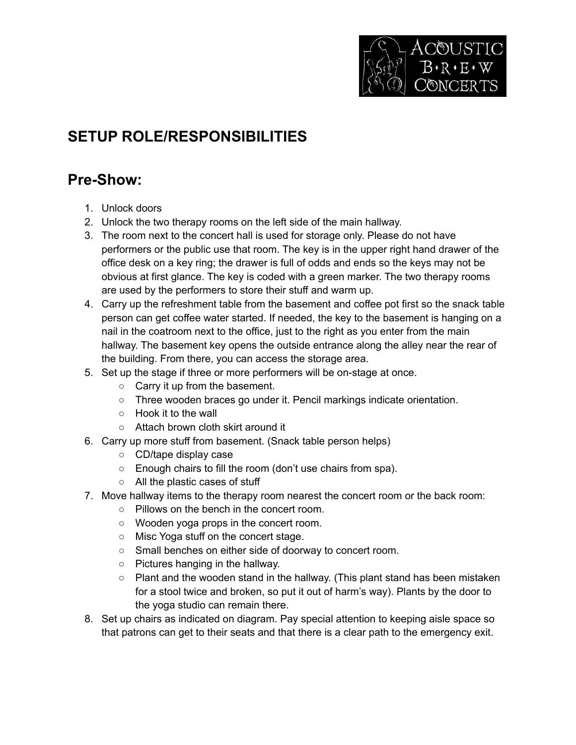

## **SETUP ROLE/RESPONSIBILITIES**

## **Pre-Show:**

- 1. Unlock doors
- 2. Unlock the two therapy rooms on the left side of the main hallway.
- 3. The room next to the concert hall is used for storage only. Please do not have performers or the public use that room. The key is in the upper right hand drawer of the office desk on a key ring; the drawer is full of odds and ends so the keys may not be obvious at first glance. The key is coded with a green marker. The two therapy rooms are used by the performers to store their stuff and warm up.
- 4. Carry up the refreshment table from the basement and coffee pot first so the snack table person can get coffee water started. If needed, the key to the basement is hanging on a nail in the coatroom next to the office, just to the right as you enter from the main hallway. The basement key opens the outside entrance along the alley near the rear of the building. From there, you can access the storage area.
- 5. Set up the stage if three or more performers will be on-stage at once.
	- Carry it up from the basement.
	- Three wooden braces go under it. Pencil markings indicate orientation.
	- Hook it to the wall
	- Attach brown cloth skirt around it
- 6. Carry up more stuff from basement. (Snack table person helps)
	- CD/tape display case
	- Enough chairs to fill the room (don't use chairs from spa).
	- All the plastic cases of stuff
- 7. Move hallway items to the therapy room nearest the concert room or the back room:
	- Pillows on the bench in the concert room.
	- Wooden yoga props in the concert room.
	- Misc Yoga stuff on the concert stage.
	- Small benches on either side of doorway to concert room.
	- Pictures hanging in the hallway.
	- Plant and the wooden stand in the hallway. (This plant stand has been mistaken for a stool twice and broken, so put it out of harm's way). Plants by the door to the yoga studio can remain there.
- 8. Set up chairs as indicated on diagram. Pay special attention to keeping aisle space so that patrons can get to their seats and that there is a clear path to the emergency exit.